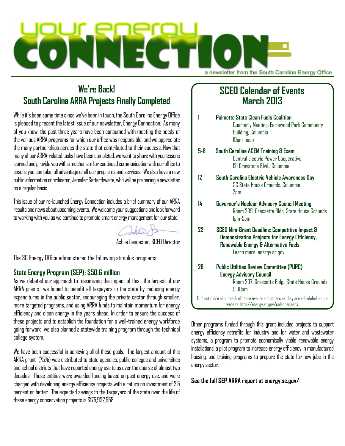

# **We're Back! South Carolina ARRA Projects Finally Completed**

While it's been some time since we've been in touch, the South Carolina Energy Office is pleased to present the latest issue of our newsletter, Energy Connection. As many of you know, the past three years have been consumed with meeting the needs of the various ARRA programs for which our office was responsible, and we appreciate the many partnerships across the state that contributed to their success. Now that many of our ARRA-related tasks have been completed, we want to share with you lessons learned and provide you with a mechanism for continued communication with our office to ensure you can take full advantage of all our programs and services. We also have a new public information coordinator, Jennifer Satterthwaite, who will be preparing a newsletter on a regular basis.

This issue of our re-launched Energy Connection includes a brief summary of our ARRA results and news about upcoming events. We welcome your suggestions and look forward to working with you as we continue to promote smart energy management for our state.

Ashlie Lancaster, SCEO Director

The SC Energy Office administered the following stimulus programs:

#### **State Energy Program (SEP): \$50.6 million**

As we debated our approach to maximizing the impact of this—the largest of our ARRA grants—we hoped to benefit all taxpayers in the state by reducing energy expenditures in the public sector, encouraging the private sector through smaller, more targeted programs, and using ARRA funds to maintain momentum for energy efficiency and clean energy in the years ahead. In order to ensure the success of these projects and to establish the foundation for a well-trained energy workforce going forward, we also planned a statewide training program through the technical college system.

We have been successful in achieving all of these goals. The largest amount of this ARRA grant (75%) was distributed to state agencies, public colleges and universities and school districts that have reported energy use to us over the course of almost two decades. Those entities were awarded funding based on past energy use, and were charged with developing energy efficiency projects with a return on investment of 2.5 percent or better. The expected savings to the taxpayers of the state over the life of these energy conservation projects is \$175,932,558.

# **SCEO Calendar of Events March 2013**

|                                                                                                                                 | Palmetto State Clean Fuels Coalition<br>Quarterly Meeting, Earlewood Park Community<br>Building, Columbia<br>10am-noon                                               |
|---------------------------------------------------------------------------------------------------------------------------------|----------------------------------------------------------------------------------------------------------------------------------------------------------------------|
| 5-8                                                                                                                             | South Carolina ACEM Training & Exam<br><b>Central Electric Power Cooperative</b><br>121 Greystone Blvd., Columbia                                                    |
| 12                                                                                                                              | South Carolina Electric Vehicle Awareness Day<br>SC State House Grounds. Columbia<br>2pm                                                                             |
| 14                                                                                                                              | Governor's Nuclear Advisory Council Meeting<br>Room 209, Gressette Bldg, State House Grounds<br>Ipm-5pm                                                              |
| 22                                                                                                                              | SCED Mini-Grant Deadline: Competitive Impact &<br>Demonstration Projects for Energy Efficiency,<br>Renewable Energy & Alternative Fuels<br>Learn more: energy.sc.gov |
| 26                                                                                                                              | <b>Public Utilities Review Committee (PURC)</b><br><b>Energy Advisory Council</b><br>Room 207, Gressette Bldg., State House Grounds<br>$9:30$ am                     |
| Find out more about each of these events and others as they are scheduled on our<br>website: http://energy.sc.gov/calendar.aspx |                                                                                                                                                                      |

Other programs funded through this grant included projects to support energy efficiency retrofits for industry and for water and wastewater systems, a program to promote economically viable renewable energy installations, a pilot program to increase energy efficiency in manufactured housing, and training programs to prepare the state for new jobs in the energy sector.

**See the full SEP ARRA report at energy.sc.gov/**